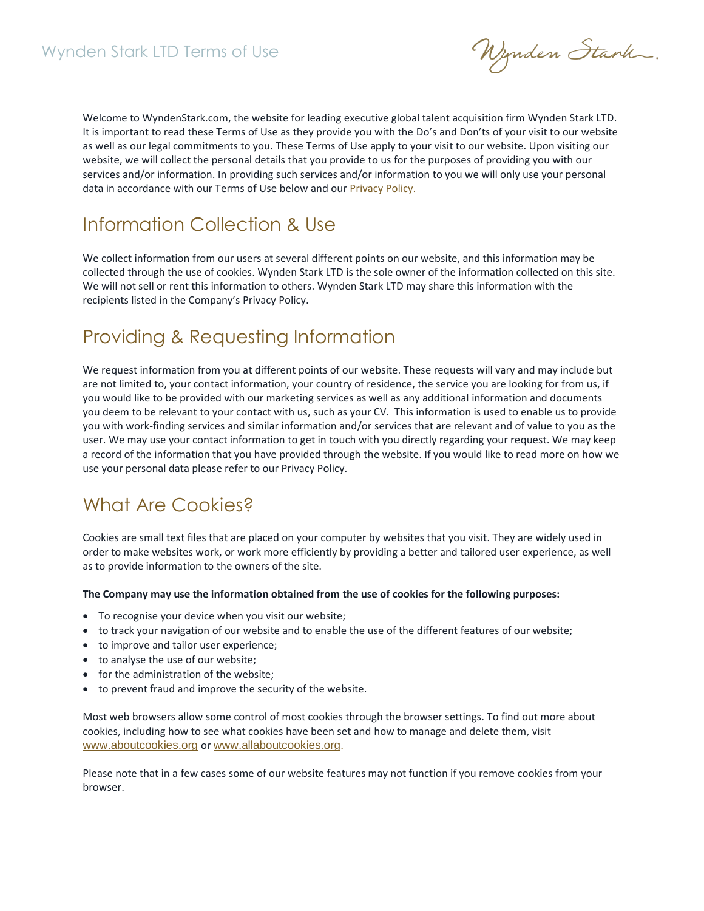Nynden Stark.

Welcome to WyndenStark.com, the website for leading executive global talent acquisition firm Wynden Stark LTD. It is important to read these Terms of Use as they provide you with the Do's and Don'ts of your visit to our website as well as our legal commitments to you. These Terms of Use apply to your visit to our website. Upon visiting our website, we will collect the personal details that you provide to us for the purposes of providing you with our services and/or information. In providing such services and/or information to you we will only use your personal data in accordance with our Terms of Use below and o[ur](https://cdn2.hubspot.net/hubfs/2998873/Documents/Legal%20(GDPR)/Wynden%20Stark%20Privacy%20Policy%202018.pdf) [Privacy Policy.](https://cdn2.hubspot.net/hubfs/2998873/Documents/Legal%20(GDPR)/GQR%20Privacy%20Policy%202018.pdf)

## Information Collection & Use

We collect information from our users at several different points on our website, and this information may be collected through the use of cookies. Wynden Stark LTD is the sole owner of the information collected on this site. We will not sell or rent this information to others. Wynden Stark LTD may share this information with the recipients listed in the Company's Privacy Policy.

## Providing & Requesting Information

We request information from you at different points of our website. These requests will vary and may include but are not limited to, your contact information, your country of residence, the service you are looking for from us, if you would like to be provided with our marketing services as well as any additional information and documents you deem to be relevant to your contact with us, such as your CV. This information is used to enable us to provide you with work-finding services and similar information and/or services that are relevant and of value to you as the user. We may use your contact information to get in touch with you directly regarding your request. We may keep a record of the information that you have provided through the website. If you would like to read more on how we use your personal data please refer to our Privacy Policy.

## What Are Cookies?

Cookies are small text files that are placed on your computer by websites that you visit. They are widely used in order to make websites work, or work more efficiently by providing a better and tailored user experience, as well as to provide information to the owners of the site.

#### **The Company may use the information obtained from the use of cookies for the following purposes:**

- To recognise your device when you visit our website;
- to track your navigation of our website and to enable the use of the different features of our website;
- to improve and tailor user experience;
- to analyse the use of our website;
- for the administration of the website;
- to prevent fraud and improve the security of the website.

Most web browsers allow some control of most cookies through the browser settings. To find out more about cookies, including how to see what cookies have been set and how to manage and delete them, visit [www.aboutcookies.org](http://www.aboutcookies.org/) or [www.allaboutcookies.org](http://www.allaboutcookies.org/).

Please note that in a few cases some of our website features may not function if you remove cookies from your browser.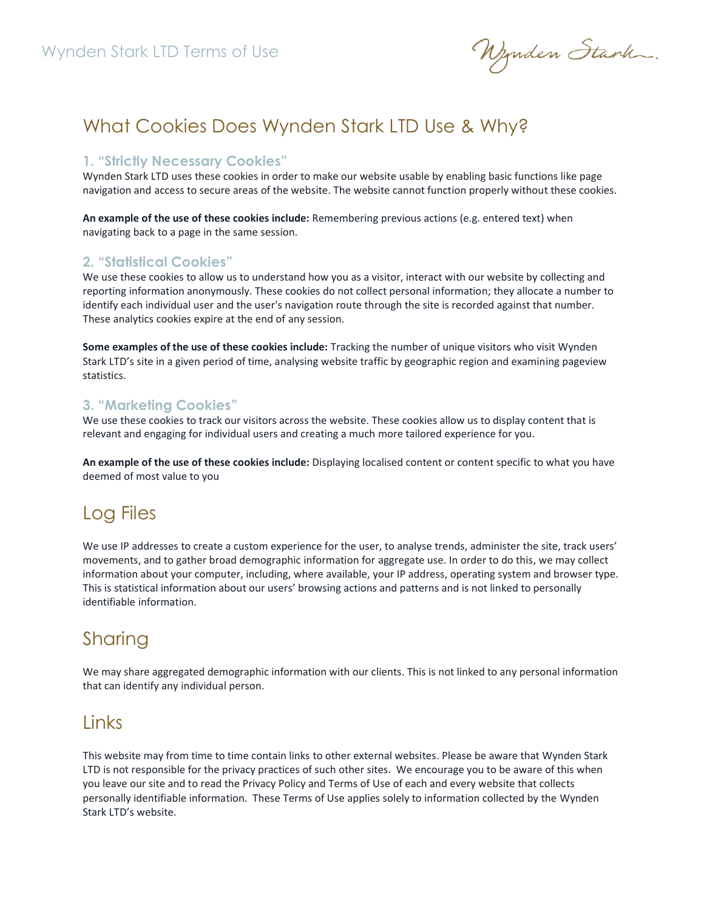Nynden Stank.

## What Cookies Does Wynden Stark LTD Use & Why?

#### **1. "Strictly Necessary Cookies"**

Wynden Stark LTD uses these cookies in order to make our website usable by enabling basic functions like page navigation and access to secure areas of the website. The website cannot function properly without these cookies.

**An example of the use of these cookies include:** Remembering previous actions (e.g. entered text) when navigating back to a page in the same session.

#### **2. "Statistical Cookies"**

We use these cookies to allow us to understand how you as a visitor, interact with our website by collecting and reporting information anonymously. These cookies do not collect personal information; they allocate a number to identify each individual user and the user's navigation route through the site is recorded against that number. These analytics cookies expire at the end of any session.

**Some examples of the use of these cookies include:** Tracking the number of unique visitors who visit Wynden Stark LTD's site in a given period of time, analysing website traffic by geographic region and examining pageview statistics.

#### **3. "Marketing Cookies"**

We use these cookies to track our visitors across the website. These cookies allow us to display content that is relevant and engaging for individual users and creating a much more tailored experience for you.

**An example of the use of these cookies include:** Displaying localised content or content specific to what you have deemed of most value to you

## Log Files

We use IP addresses to create a custom experience for the user, to analyse trends, administer the site, track users' movements, and to gather broad demographic information for aggregate use. In order to do this, we may collect information about your computer, including, where available, your IP address, operating system and browser type. This is statistical information about our users' browsing actions and patterns and is not linked to personally identifiable information.

## Sharing

We may share aggregated demographic information with our clients. This is not linked to any personal information that can identify any individual person.

### Links

This website may from time to time contain links to other external websites. Please be aware that Wynden Stark LTD is not responsible for the privacy practices of such other sites. We encourage you to be aware of this when you leave our site and to read the Privacy Policy and Terms of Use of each and every website that collects personally identifiable information. These Terms of Use applies solely to information collected by the Wynden Stark LTD's website.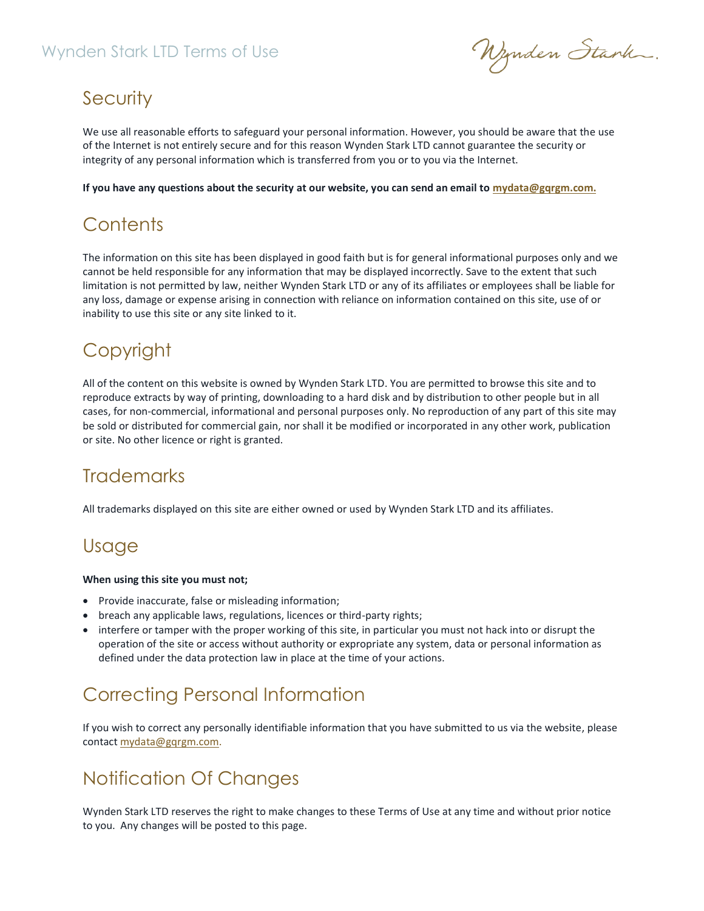### Wynden Stark LTD Terms of Use

Wynden Stank.

## **Security**

We use all reasonable efforts to safeguard your personal information. However, you should be aware that the use of the Internet is not entirely secure and for this reason Wynden Stark LTD cannot guarantee the security or integrity of any personal information which is transferred from you or to you via the Internet.

**If you have any questions about the security at our website, you can send an email to [mydata@gqrgm.com.](mailto:mydata@gqrgm.com)**

# **Contents**

The information on this site has been displayed in good faith but is for general informational purposes only and we cannot be held responsible for any information that may be displayed incorrectly. Save to the extent that such limitation is not permitted by law, neither Wynden Stark LTD or any of its affiliates or employees shall be liable for any loss, damage or expense arising in connection with reliance on information contained on this site, use of or inability to use this site or any site linked to it.

## **Copyright**

All of the content on this website is owned by Wynden Stark LTD. You are permitted to browse this site and to reproduce extracts by way of printing, downloading to a hard disk and by distribution to other people but in all cases, for non-commercial, informational and personal purposes only. No reproduction of any part of this site may be sold or distributed for commercial gain, nor shall it be modified or incorporated in any other work, publication or site. No other licence or right is granted.

## **Trademarks**

All trademarks displayed on this site are either owned or used by Wynden Stark LTD and its affiliates.

## Usage

#### **When using this site you must not;**

- Provide inaccurate, false or misleading information;
- breach any applicable laws, regulations, licences or third-party rights;
- interfere or tamper with the proper working of this site, in particular you must not hack into or disrupt the operation of the site or access without authority or expropriate any system, data or personal information as defined under the data protection law in place at the time of your actions.

## Correcting Personal Information

If you wish to correct any personally identifiable information that you have submitted to us via the website, please contact [mydata@gqrgm.com.](mailto:mydata@gqrgm.com)

# Notification Of Changes

Wynden Stark LTD reserves the right to make changes to these Terms of Use at any time and without prior notice to you. Any changes will be posted to this page.